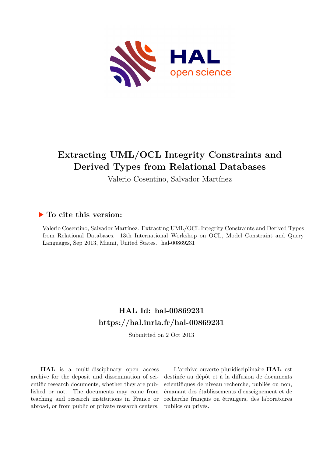

# **Extracting UML/OCL Integrity Constraints and Derived Types from Relational Databases**

Valerio Cosentino, Salvador Martínez

# **To cite this version:**

Valerio Cosentino, Salvador Martínez. Extracting UML/OCL Integrity Constraints and Derived Types from Relational Databases. 13th International Workshop on OCL, Model Constraint and Query Languages, Sep 2013, Miami, United States. hal-00869231

# **HAL Id: hal-00869231 <https://hal.inria.fr/hal-00869231>**

Submitted on 2 Oct 2013

**HAL** is a multi-disciplinary open access archive for the deposit and dissemination of scientific research documents, whether they are published or not. The documents may come from teaching and research institutions in France or abroad, or from public or private research centers.

L'archive ouverte pluridisciplinaire **HAL**, est destinée au dépôt et à la diffusion de documents scientifiques de niveau recherche, publiés ou non, émanant des établissements d'enseignement et de recherche français ou étrangers, des laboratoires publics ou privés.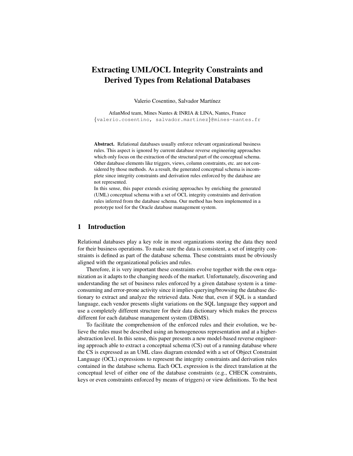## Extracting UML/OCL Integrity Constraints and Derived Types from Relational Databases

Valerio Cosentino, Salvador Martínez

AtlanMod team, Mines Nantes & INRIA & LINA, Nantes, France {valerio.cosentino, salvador.martinez}@mines-nantes.fr

Abstract. Relational databases usually enforce relevant organizational business rules. This aspect is ignored by current database reverse engineering approaches which only focus on the extraction of the structural part of the conceptual schema. Other database elements like triggers, views, column constraints, etc. are not considered by those methods. As a result, the generated conceptual schema is incomplete since integrity constraints and derivation rules enforced by the database are not represented.

In this sense, this paper extends existing approaches by enriching the generated (UML) conceptual schema with a set of OCL integrity constraints and derivation rules inferred from the database schema. Our method has been implemented in a prototype tool for the Oracle database management system.

### 1 Introduction

Relational databases play a key role in most organizations storing the data they need for their business operations. To make sure the data is consistent, a set of integrity constraints is defined as part of the database schema. These constraints must be obviously aligned with the organizational policies and rules.

Therefore, it is very important these constraints evolve together with the own organization as it adapts to the changing needs of the market. Unfortunately, discovering and understanding the set of business rules enforced by a given database system is a timeconsuming and error-prone activity since it implies querying/browsing the database dictionary to extract and analyze the retrieved data. Note that, even if SQL is a standard language, each vendor presents slight variations on the SQL language they support and use a completely different structure for their data dictionary which makes the process different for each database management system (DBMS).

To facilitate the comprehension of the enforced rules and their evolution, we believe the rules must be described using an homogeneous representation and at a higherabstraction level. In this sense, this paper presents a new model-based reverse engineering approach able to extract a conceptual schema (CS) out of a running database where the CS is expressed as an UML class diagram extended with a set of Object Constraint Language (OCL) expressions to represent the integrity constraints and derivation rules contained in the database schema. Each OCL expression is the direct translation at the conceptual level of either one of the database constraints (e.g., CHECK constraints, keys or even constraints enforced by means of triggers) or view definitions. To the best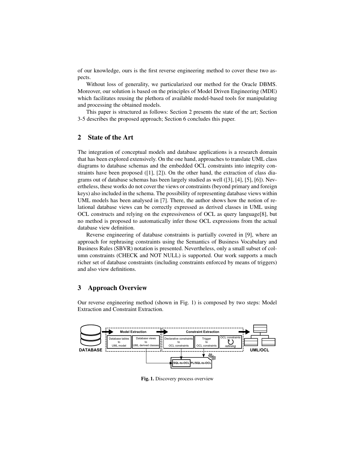of our knowledge, ours is the first reverse engineering method to cover these two aspects.

Without loss of generality, we particularized our method for the Oracle DBMS. Moreover, our solution is based on the principles of Model Driven Engineering (MDE) which facilitates reusing the plethora of available model-based tools for manipulating and processing the obtained models.

This paper is structured as follows: Section 2 presents the state of the art; Section 3-5 describes the proposed approach; Section 6 concludes this paper.

## 2 State of the Art

The integration of conceptual models and database applications is a research domain that has been explored extensively. On the one hand, approaches to translate UML class diagrams to database schemas and the embedded OCL constraints into integrity constraints have been proposed  $([1], [2])$ . On the other hand, the extraction of class diagrams out of database schemas has been largely studied as well ([3], [4], [5], [6]). Nevertheless, these works do not cover the views or constraints (beyond primary and foreign keys) also included in the schema. The possibility of representing database views within UML models has been analysed in [7]. There, the author shows how the notion of relational database views can be correctly expressed as derived classes in UML using OCL constructs and relying on the expressiveness of OCL as query language[8], but no method is proposed to automatically infer those OCL expressions from the actual database view definition.

Reverse engineering of database constraints is partially covered in [9], where an approach for rephrasing constraints using the Semantics of Business Vocabulary and Business Rules (SBVR) notation is presented. Nevertheless, only a small subset of column constraints (CHECK and NOT NULL) is supported. Our work supports a much richer set of database constraints (including constraints enforced by means of triggers) and also view definitions.

### 3 Approach Overview

Our reverse engineering method (shown in Fig. 1) is composed by two steps: Model Extraction and Constraint Extraction.



Fig. 1. Discovery process overview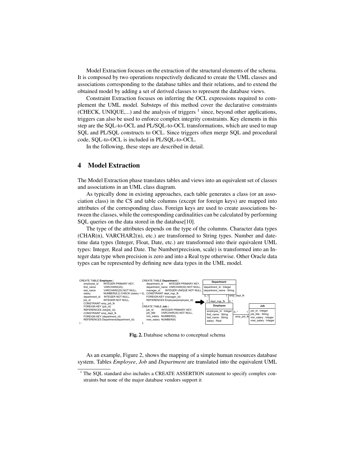Model Extraction focuses on the extraction of the structural elements of the schema. It is composed by two operations respectively dedicated to create the UML classes and associations corresponding to the database tables and their relations, and to extend the obtained model by adding a set of derived classes to represent the database views.

Constraint Extraction focuses on inferring the OCL expressions required to complement the UML model. Substeps of this method cover the declarative constraints (CHECK, UNIQUE,...) and the analysis of triggers  $<sup>1</sup>$  since, beyond other applications,</sup> triggers can also be used to enforce complex integrity constraints. Key elements in this step are the SQL-to-OCL and PL/SQL-to-OCL transformations, which are used to map SQL and PL/SQL constructs to OCL. Since triggers often merge SQL and procedural code, SQL-to-OCL is included in PL/SQL-to-OCL.

In the following, these steps are described in detail.

### 4 Model Extraction

The Model Extraction phase translates tables and views into an equivalent set of classes and associations in an UML class diagram.

As typically done in existing approaches, each table generates a class (or an association class) in the CS and table columns (except for foreign keys) are mapped into attributes of the corresponding class. Foreign keys are used to create associations between the classes, while the corresponding cardinalities can be calculated by performing SQL queries on the data stored in the database[10].

The type of the attributes depends on the type of the columns. Character data types  $(CHAR(n), VARCHAR2(n), etc.)$  are transformed to String types. Number and datetime data types (Integer, Float, Date, etc.) are transformed into their equivalent UML types: Integer, Real and Date. The Number(precision, scale) is transformed into an Integer data type when precision is zero and into a Real type otherwise. Other Oracle data types can be represented by defining new data types in the UML model.



Fig. 2. Database schema to conceptual schema

As an example, Figure 2, shows the mapping of a simple human resources database system. Tables *Employee*, *Job* and *Department* are translated into the equivalent UML

<sup>&</sup>lt;sup>1</sup> The SQL standard also includes a CREATE ASSERTION statement to specify complex constraints but none of the major database vendors support it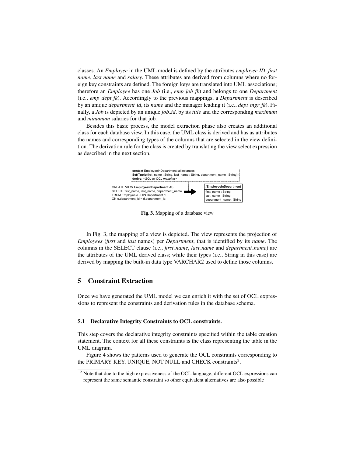classes. An *Employee* in the UML model is defined by the attributes *employee ID*, *first name*, *last name* and *salary*. These attributes are derived from columns where no foreign key constraints are defined. The foreign keys are translated into UML associations; therefore an *Employee* has one *Job* (i.e., *emp job fk*) and belongs to one *Department* (i.e., *emp dept fk*). Accordingly to the previous mappings, a *Department* is described by an unique *department id*, its *name* and the manager leading it (i.e., *dept mgr fk*). Finally, a *Job* is depicted by an unique *job id*, by its *title* and the corresponding *maximum* and *minumum* salaries for that job.

Besides this basic process, the model extraction phase also creates an additional class for each database view. In this case, the UML class is derived and has as attributes the names and corresponding types of the columns that are selected in the view definition. The derivation rule for the class is created by translating the view select expression as described in the next section.



Fig. 3. Mapping of a database view

In Fig. 3, the mapping of a view is depicted. The view represents the projection of *Employees* (*first* and *last* names) per *Department*, that is identified by its *name*. The columns in the SELECT clause (i.e., *first name*, *last name* and *department name*) are the attributes of the UML derived class; while their types (i.e., String in this case) are derived by mapping the built-in data type VARCHAR2 used to define those columns.

#### 5 Constraint Extraction

Once we have generated the UML model we can enrich it with the set of OCL expressions to represent the constraints and derivation rules in the database schema.

#### 5.1 Declarative Integrity Constraints to OCL constraints.

This step covers the declarative integrity constraints specified within the table creation statement. The context for all these constraints is the class representing the table in the UML diagram.

Figure 4 shows the patterns used to generate the OCL constraints corresponding to the PRIMARY KEY, UNIQUE, NOT NULL and CHECK constraints<sup>2</sup>.

<sup>&</sup>lt;sup>2</sup> Note that due to the high expressiveness of the OCL language, different OCL expressions can represent the same semantic constraint so other equivalent alternatives are also possible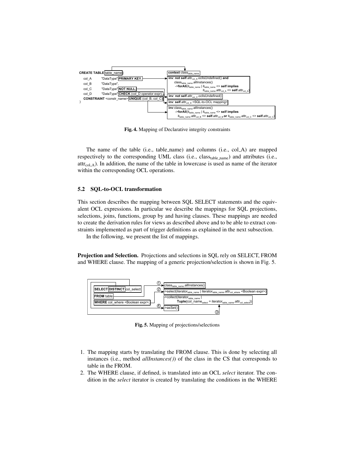

Fig. 4. Mapping of Declarative integrity constraints

The name of the table (i.e., table name) and columns (i.e., col A) are mapped respectively to the corresponding UML class (i.e., classtable\_name) and attributes (i.e.,  $attr_{col. A}$ ). In addition, the name of the table in lowercase is used as name of the iterator within the corresponding OCL operations.

#### 5.2 SQL-to-OCL transformation

This section describes the mapping between SQL SELECT statements and the equivalent OCL expressions. In particular we describe the mappings for SQL projections, selections, joins, functions, group by and having clauses. These mappings are needed to create the derivation rules for views as described above and to be able to extract constraints implemented as part of trigger definitions as explained in the next subsection.

In the following, we present the list of mappings.

Projection and Selection. Projections and selections in SQL rely on SELECT, FROM and WHERE clause. The mapping of a generic projection/selection is shown in Fig. 5.



Fig. 5. Mapping of projections/selections

- 1. The mapping starts by translating the FROM clause. This is done by selecting all instances (i.e., method *allInstances()*) of the class in the CS that corresponds to table in the FROM.
- 2. The WHERE clause, if defined, is translated into an OCL *select* iterator. The condition in the *select* iterator is created by translating the conditions in the WHERE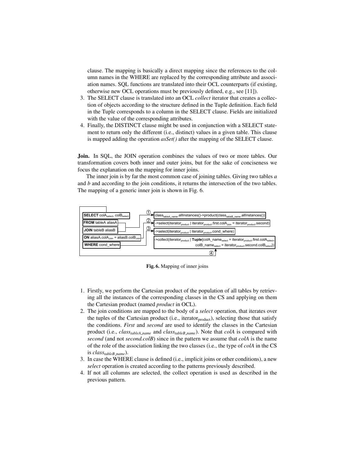clause. The mapping is basically a direct mapping since the references to the column names in the WHERE are replaced by the corresponding attribute and association names. SQL functions are translated into their OCL counterparts (if existing, otherwise new OCL operations must be previously defined, e.g., see [11]).

- 3. The SELECT clause is translated into an OCL *collect* iterator that creates a collection of objects according to the structure defined in the Tuple definition. Each field in the Tuple corresponds to a column in the SELECT clause. Fields are initialized with the value of the corresponding attributes.
- 4. Finally, the DISTINCT clause might be used in conjunction with a SELECT statement to return only the different (i.e., distinct) values in a given table. This clause is mapped adding the operation *asSet()* after the mapping of the SELECT clause.

Join. In SQL, the JOIN operation combines the values of two or more tables. Our transformation covers both inner and outer joins, but for the sake of conciseness we focus the explanation on the mapping for inner joins.

The inner join is by far the most common case of joining tables. Giving two tables *a* and *b* and according to the join conditions, it returns the intersection of the two tables. The mapping of a generic inner join is shown in Fig. 6.



Fig. 6. Mapping of inner joins

- 1. Firstly, we perform the Cartesian product of the population of all tables by retrieving all the instances of the corresponding classes in the CS and applying on them the Cartesian product (named *product* in OCL).
- 2. The join conditions are mapped to the body of a *select* operation, that iterates over the tuples of the Cartesian product (i.e., iterator<sub>product</sub>), selecting those that satisfy the conditions. *First* and *second* are used to identify the classes in the Cartesian product (i.e., *classtableA name* and *classtableB name*). Note that *colA* is compared with *second* (and not *second.colB*) since in the pattern we assume that *colA* is the name of the role of the association linking the two classes (i.e., the type of *colA* in the CS is *classtableB name*).
- 3. In case the WHERE clause is defined (i.e., implicit joins or other conditions), a new *select* operation is created according to the patterns previously described.
- 4. If not all columns are selected, the collect operation is used as described in the previous pattern.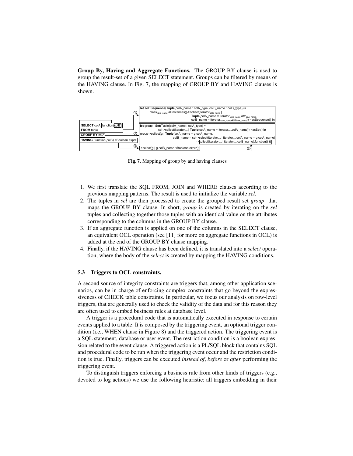Group By, Having and Aggregate Functions. The GROUP BY clause is used to group the result-set of a given SELECT statement. Groups can be filtered by means of the HAVING clause. In Fig. 7, the mapping of GROUP BY and HAVING clauses is shown.



Fig. 7. Mapping of group by and having clauses

- 1. We first translate the SQL FROM, JOIN and WHERE clauses according to the previous mapping patterns. The result is used to initialize the variable *sel*.
- 2. The tuples in *sel* are then processed to create the grouped result set *group* that maps the GROUP BY clause. In short, *group* is created by iterating on the *sel* tuples and collecting together those tuples with an identical value on the attributes corresponding to the columns in the GROUP BY clause.
- 3. If an aggregate function is applied on one of the columns in the SELECT clause, an equivalent OCL operation (see [11] for more on aggregate functions in OCL) is added at the end of the GROUP BY clause mapping.
- 4. Finally, if the HAVING clause has been defined, it is translated into a *select* operation, where the body of the *select* is created by mapping the HAVING conditions.

#### 5.3 Triggers to OCL constraints.

A second source of integrity constraints are triggers that, among other application scenarios, can be in charge of enforcing complex constraints that go beyond the expressiveness of CHECK table constraints. In particular, we focus our analysis on row-level triggers, that are generally used to check the validity of the data and for this reason they are often used to embed business rules at database level.

A trigger is a procedural code that is automatically executed in response to certain events applied to a table. It is composed by the triggering event, an optional trigger condition (i.e., WHEN clause in Figure 8) and the triggered action. The triggering event is a SQL statement, database or user event. The restriction condition is a boolean expression related to the event clause. A triggered action is a PL/SQL block that contains SQL and procedural code to be run when the triggering event occur and the restriction condition is true. Finally, triggers can be executed *instead of*, *before* or *after* performing the triggering event.

To distinguish triggers enforcing a business rule from other kinds of triggers (e.g., devoted to log actions) we use the following heuristic: all triggers embedding in their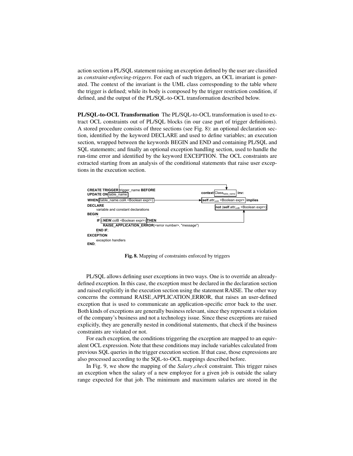action section a PL/SQL statement raising an exception defined by the user are classified as *constraint-enforcing-triggers*. For each of such triggers, an OCL invariant is generated. The context of the invariant is the UML class corresponding to the table where the trigger is defined; while its body is composed by the trigger restriction condition, if defined, and the output of the PL/SQL-to-OCL transformation described below.

PL/SQL-to-OCL Transformation The PL/SQL-to-OCL transformation is used to extract OCL constraints out of PL/SQL blocks (in our case part of trigger definitions). A stored procedure consists of three sections (see Fig. 8): an optional declaration section, identified by the keyword DECLARE and used to define variables; an execution section, wrapped between the keywords BEGIN and END and containing PL/SQL and SQL statements; and finally an optional exception handling section, used to handle the run-time error and identified by the keyword EXCEPTION. The OCL constraints are extracted starting from an analysis of the conditional statements that raise user exceptions in the execution section.



Fig. 8. Mapping of constraints enforced by triggers

PL/SQL allows defining user exceptions in two ways. One is to override an alreadydefined exception. In this case, the exception must be declared in the declaration section and raised explicitly in the execution section using the statement RAISE. The other way concerns the command RAISE APPLICATION ERROR, that raises an user-defined exception that is used to communicate an application-specific error back to the user. Both kinds of exceptions are generally business relevant, since they represent a violation of the company's business and not a technology issue. Since these exceptions are raised explicitly, they are generally nested in conditional statements, that check if the business constraints are violated or not.

For each exception, the conditions triggering the exception are mapped to an equivalent OCL expression. Note that these conditions may include variables calculated from previous SQL queries in the trigger execution section. If that case, those expressions are also processed according to the SQL-to-OCL mappings described before.

In Fig. 9, we show the mapping of the *Salary check* constraint. This trigger raises an exception when the salary of a new employee for a given job is outside the salary range expected for that job. The minimum and maximum salaries are stored in the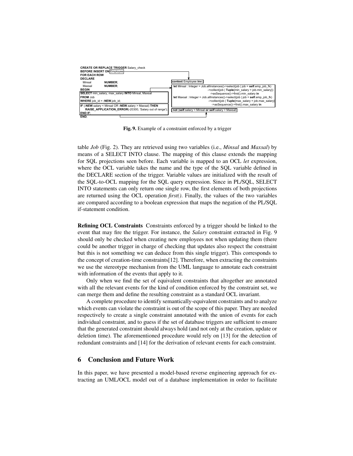

Fig. 9. Example of a constraint enforced by a trigger

table *Job* (Fig. 2). They are retrieved using two variables (i.e., *Minsal* and *Maxsal*) by means of a SELECT INTO clause. The mapping of this clause extends the mapping for SQL projections seen before. Each variable is mapped to an OCL *let* expression, where the OCL variable takes the name and the type of the SQL variable defined in the DECLARE section of the trigger. Variable values are initialized with the result of the SQL-to-OCL mapping for the SQL query expression. Since in PL/SQL, SELECT INTO statements can only return one single row, the first elements of both projections are returned using the OCL operation *first()*. Finally, the values of the two variables are compared according to a boolean expression that maps the negation of the PL/SQL if-statement condition.

Refining OCL Constraints Constraints enforced by a trigger should be linked to the event that may fire the trigger. For instance, the *Salary* constraint extracted in Fig. 9 should only be checked when creating new employees not when updating them (there could be another trigger in charge of checking that updates also respect the constraint but this is not something we can deduce from this single trigger). This corresponds to the concept of creation-time constraints[12]. Therefore, when extracting the constraints we use the stereotype mechanism from the UML language to annotate each constraint with information of the events that apply to it.

Only when we find the set of equivalent constraints that altogether are annotated with all the relevant events for the kind of condition enforced by the constraint set, we can merge them and define the resulting constraint as a standard OCL invariant.

A complete procedure to identify semantically-equivalent constraints and to analyze which events can violate the constraint is out of the scope of this paper. They are needed respectively to create a single constraint annotated with the union of events for each individual constraint, and to guess if the set of database triggers are sufficient to ensure that the generated constraint should always hold (and not only at the creation, update or deletion time). The aforementioned procedure would rely on [13] for the detection of redundant constraints and [14] for the derivation of relevant events for each constraint.

#### 6 Conclusion and Future Work

In this paper, we have presented a model-based reverse engineering approach for extracting an UML/OCL model out of a database implementation in order to facilitate